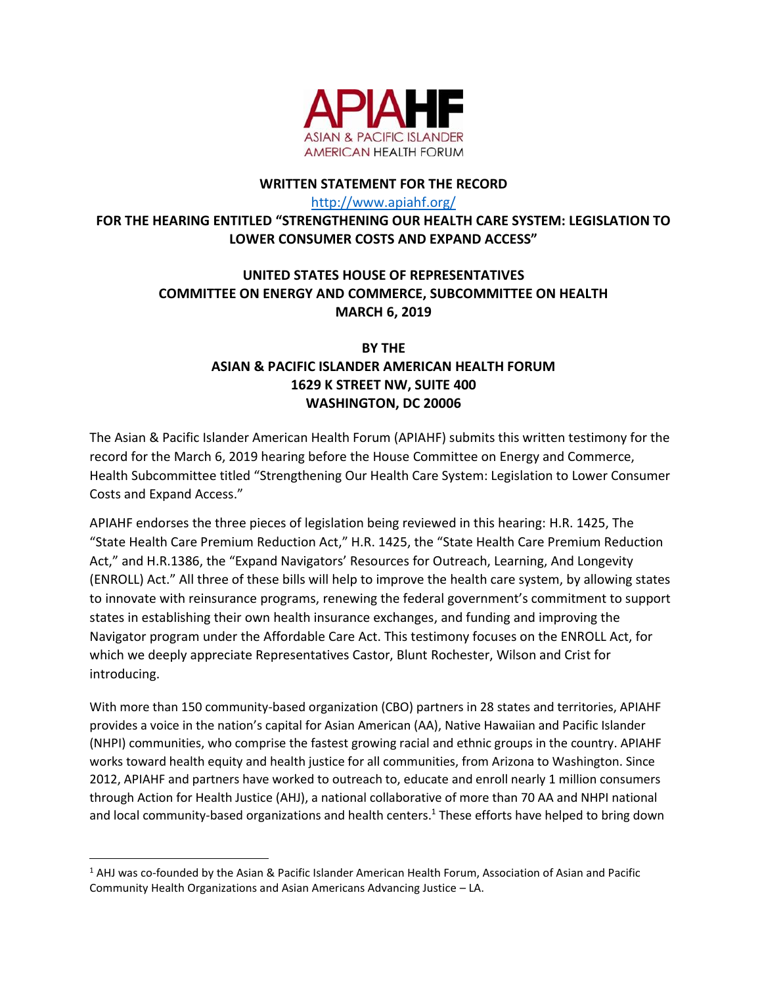

## **WRITTEN STATEMENT FOR THE RECORD**

<http://www.apiahf.org/>

## **FOR THE HEARING ENTITLED "STRENGTHENING OUR HEALTH CARE SYSTEM: LEGISLATION TO LOWER CONSUMER COSTS AND EXPAND ACCESS"**

## **UNITED STATES HOUSE OF REPRESENTATIVES COMMITTEE ON ENERGY AND COMMERCE, SUBCOMMITTEE ON HEALTH MARCH 6, 2019**

## **BY THE ASIAN & PACIFIC ISLANDER AMERICAN HEALTH FORUM 1629 K STREET NW, SUITE 400 WASHINGTON, DC 20006**

The Asian & Pacific Islander American Health Forum (APIAHF) submits this written testimony for the record for the March 6, 2019 hearing before the House Committee on Energy and Commerce, Health Subcommittee titled "Strengthening Our Health Care System: Legislation to Lower Consumer Costs and Expand Access."

APIAHF endorses the three pieces of legislation being reviewed in this hearing: H.R. 1425, The "State Health Care Premium Reduction Act," H.R. 1425, the "State Health Care Premium Reduction Act," and H.R.1386, the "Expand Navigators' Resources for Outreach, Learning, And Longevity (ENROLL) Act." All three of these bills will help to improve the health care system, by allowing states to innovate with reinsurance programs, renewing the federal government's commitment to support states in establishing their own health insurance exchanges, and funding and improving the Navigator program under the Affordable Care Act. This testimony focuses on the ENROLL Act, for which we deeply appreciate Representatives Castor, Blunt Rochester, Wilson and Crist for introducing.

With more than 150 community-based organization (CBO) partners in 28 states and territories, APIAHF provides a voice in the nation's capital for Asian American (AA), Native Hawaiian and Pacific Islander (NHPI) communities, who comprise the fastest growing racial and ethnic groups in the country. APIAHF works toward health equity and health justice for all communities, from Arizona to Washington. Since 2012, APIAHF and partners have worked to outreach to, educate and enroll nearly 1 million consumers through Action for Health Justice (AHJ), a national collaborative of more than 70 AA and NHPI national and local community-based organizations and health centers.<sup>1</sup> These efforts have helped to bring down

l

 $1$  AHJ was co-founded by the Asian & Pacific Islander American Health Forum, Association of Asian and Pacific Community Health Organizations and Asian Americans Advancing Justice – LA.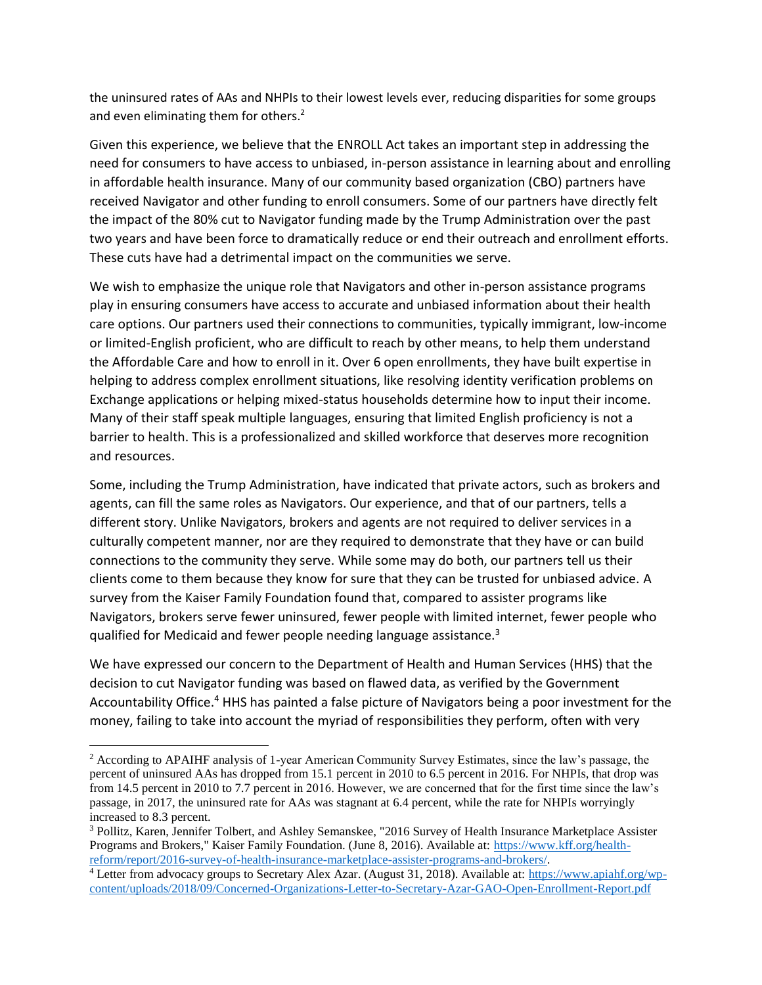the uninsured rates of AAs and NHPIs to their lowest levels ever, reducing disparities for some groups and even eliminating them for others.<sup>2</sup>

Given this experience, we believe that the ENROLL Act takes an important step in addressing the need for consumers to have access to unbiased, in-person assistance in learning about and enrolling in affordable health insurance. Many of our community based organization (CBO) partners have received Navigator and other funding to enroll consumers. Some of our partners have directly felt the impact of the 80% cut to Navigator funding made by the Trump Administration over the past two years and have been force to dramatically reduce or end their outreach and enrollment efforts. These cuts have had a detrimental impact on the communities we serve.

We wish to emphasize the unique role that Navigators and other in-person assistance programs play in ensuring consumers have access to accurate and unbiased information about their health care options. Our partners used their connections to communities, typically immigrant, low-income or limited-English proficient, who are difficult to reach by other means, to help them understand the Affordable Care and how to enroll in it. Over 6 open enrollments, they have built expertise in helping to address complex enrollment situations, like resolving identity verification problems on Exchange applications or helping mixed-status households determine how to input their income. Many of their staff speak multiple languages, ensuring that limited English proficiency is not a barrier to health. This is a professionalized and skilled workforce that deserves more recognition and resources.

Some, including the Trump Administration, have indicated that private actors, such as brokers and agents, can fill the same roles as Navigators. Our experience, and that of our partners, tells a different story. Unlike Navigators, brokers and agents are not required to deliver services in a culturally competent manner, nor are they required to demonstrate that they have or can build connections to the community they serve. While some may do both, our partners tell us their clients come to them because they know for sure that they can be trusted for unbiased advice. A survey from the Kaiser Family Foundation found that, compared to assister programs like Navigators, brokers serve fewer uninsured, fewer people with limited internet, fewer people who qualified for Medicaid and fewer people needing language assistance.<sup>3</sup>

We have expressed our concern to the Department of Health and Human Services (HHS) that the decision to cut Navigator funding was based on flawed data, as verified by the Government Accountability Office.<sup>4</sup> HHS has painted a false picture of Navigators being a poor investment for the money, failing to take into account the myriad of responsibilities they perform, often with very

 $\overline{\phantom{a}}$ 

<sup>&</sup>lt;sup>2</sup> According to APAIHF analysis of 1-year American Community Survey Estimates, since the law's passage, the percent of uninsured AAs has dropped from 15.1 percent in 2010 to 6.5 percent in 2016. For NHPIs, that drop was from 14.5 percent in 2010 to 7.7 percent in 2016. However, we are concerned that for the first time since the law's passage, in 2017, the uninsured rate for AAs was stagnant at 6.4 percent, while the rate for NHPIs worryingly increased to 8.3 percent.

<sup>3</sup> Pollitz, Karen, Jennifer Tolbert, and Ashley Semanskee, "2016 Survey of Health Insurance Marketplace Assister Programs and Brokers," Kaiser Family Foundation. (June 8, 2016). Available at: [https://www.kff.org/health](https://www.kff.org/health-reform/report/2016-survey-of-health-insurance-marketplace-assister-programs-and-brokers/)[reform/report/2016-survey-of-health-insurance-marketplace-assister-programs-and-brokers/.](https://www.kff.org/health-reform/report/2016-survey-of-health-insurance-marketplace-assister-programs-and-brokers/)

<sup>&</sup>lt;sup>4</sup> Letter from advocacy groups to Secretary Alex Azar. (August 31, 2018). Available at: [https://www.apiahf.org/wp](https://www.apiahf.org/wp-content/uploads/2018/09/Concerned-Organizations-Letter-to-Secretary-Azar-GAO-Open-Enrollment-Report.pdf)[content/uploads/2018/09/Concerned-Organizations-Letter-to-Secretary-Azar-GAO-Open-Enrollment-Report.pdf](https://www.apiahf.org/wp-content/uploads/2018/09/Concerned-Organizations-Letter-to-Secretary-Azar-GAO-Open-Enrollment-Report.pdf)